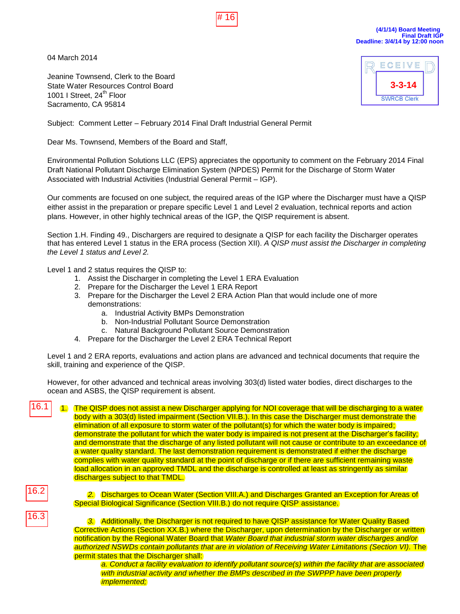04 March 2014



**(4/1/14) Board Meeting Final Draft IGP Deadline: 3/4/14 by 12:00 noon**

Jeanine Townsend, Clerk to the Board State Water Resources Control Board 1001 I Street, 24<sup>th</sup> Floor Sacramento, CA 95814



Subject: Comment Letter – February 2014 Final Draft Industrial General Permit

Dear Ms. Townsend, Members of the Board and Staff,

Environmental Pollution Solutions LLC (EPS) appreciates the opportunity to comment on the February 2014 Final Draft National Pollutant Discharge Elimination System (NPDES) Permit for the Discharge of Storm Water Associated with Industrial Activities (Industrial General Permit – IGP).

Our comments are focused on one subject, the required areas of the IGP where the Discharger must have a QISP either assist in the preparation or prepare specific Level 1 and Level 2 evaluation, technical reports and action plans. However, in other highly technical areas of the IGP, the QISP requirement is absent.

Section 1.H. Finding 49., Dischargers are required to designate a QISP for each facility the Discharger operates that has entered Level 1 status in the ERA process (Section XII). *A QISP must assist the Discharger in completing the Level 1 status and Level 2.* 

Level 1 and 2 status requires the QISP to:

- 1. Assist the Discharger in completing the Level 1 ERA Evaluation
- 2. Prepare for the Discharger the Level 1 ERA Report
- 3. Prepare for the Discharger the Level 2 ERA Action Plan that would include one of more demonstrations:
	- a. Industrial Activity BMPs Demonstration
	- b. Non-Industrial Pollutant Source Demonstration
	- c. Natural Background Pollutant Source Demonstration
- 4. Prepare for the Discharger the Level 2 ERA Technical Report

Level 1 and 2 ERA reports, evaluations and action plans are advanced and technical documents that require the skill, training and experience of the QISP.

However, for other advanced and technical areas involving 303(d) listed water bodies, direct discharges to the ocean and ASBS, the QISP requirement is absent.

16.1

1. The QISP does not assist a new Discharger applying for NOI coverage that will be discharging to a water body with a 303(d) listed impairment (Section VII.B.). In this case the Discharger must demonstrate the elimination of all exposure to storm water of the pollutant(s) for which the water body is impaired; demonstrate the pollutant for which the water body is impaired is not present at the Discharger's facility; and demonstrate that the discharge of any listed pollutant will not cause or contribute to an exceedance of a water quality standard. The last demonstration requirement is demonstrated if either the discharge complies with water quality standard at the point of discharge or if there are sufficient remaining waste load allocation in an approved TMDL and the discharge is controlled at least as stringently as similar discharges subject to that TMDL. 16.<br>
16. March 2014<br>
16. March 2014<br>
Jeanine Townsend, Clerk to the Board<br>
State Water Resources Control Board<br>
1001 I Street, 24<sup>m</sup> Floor<br>
1001 I Street, 24<sup>m</sup> Floor<br>
Sacramento, CA 95814<br>
Subject: Comment Letter – Februa

16.2

*2.* Discharges to Ocean Water (Section VIII.A.) and Discharges Granted an Exception for Areas of Special Biological Significance (Section VIII.B.) do not require QISP assistance.

*3.* Additionally, the Discharger is not required to have QISP assistance for Water Quality Based Corrective Actions (Section XX.B.) where the Discharger, upon determination by the Discharger or written notification by the Regional Water Board that *Water Board that industrial storm water discharges and/or authorized NSWDs contain pollutants that are in violation of Receiving Water Limitations (Section VI).* The permit states that the Discharger shall:

*a. Conduct a facility evaluation to identify pollutant source(s) within the facility that are associated with industrial activity and whether the BMPs described in the SWPPP have been properly implemented;*